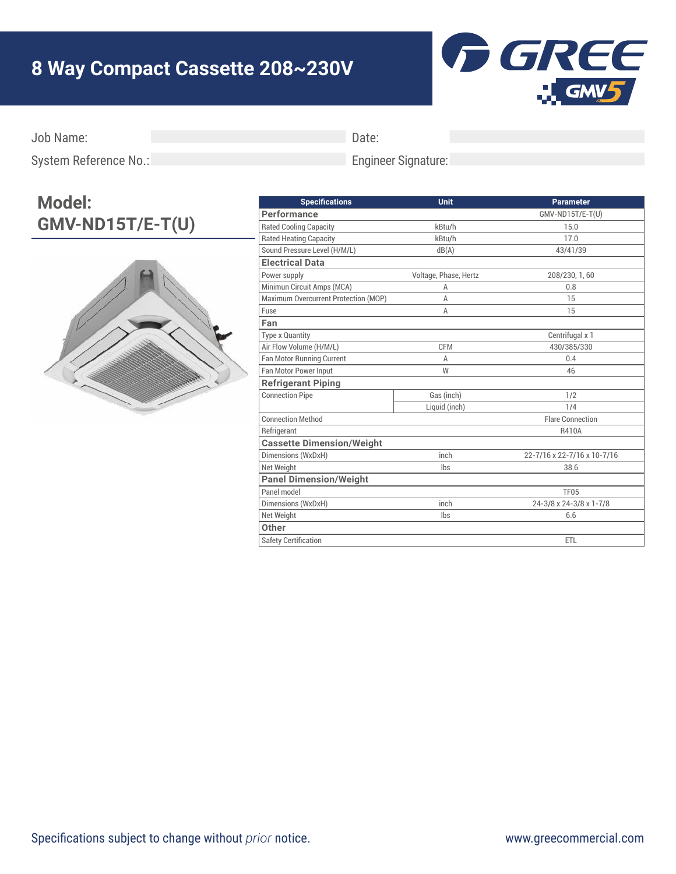## **8 Way Compact Cassette 208~230V**



Job Name:

Date:

System Reference No.:

## Engineer Signature:

## **Model: GMV-ND15T/E-T(U)**



| <b>Specifications</b>                | Unit                  | <b>Parameter</b>            |
|--------------------------------------|-----------------------|-----------------------------|
| Performance                          |                       | GMV-ND15T/E-T(U)            |
| <b>Rated Cooling Capacity</b>        | kBtu/h                | 15.0                        |
| <b>Rated Heating Capacity</b>        | kBtu/h                | 17.0                        |
| Sound Pressure Level (H/M/L)         | dB(A)                 | 43/41/39                    |
| <b>Electrical Data</b>               |                       |                             |
| Power supply                         | Voltage, Phase, Hertz | 208/230, 1, 60              |
| Minimun Circuit Amps (MCA)           | Α                     | 0.8                         |
| Maximum Overcurrent Protection (MOP) | A                     | 15                          |
| Fuse                                 | A                     | 15                          |
| Fan                                  |                       |                             |
| <b>Type x Quantity</b>               |                       | Centrifugal x 1             |
| Air Flow Volume (H/M/L)              | <b>CFM</b>            | 430/385/330                 |
| Fan Motor Running Current            | A                     | 0.4                         |
| Fan Motor Power Input                | W                     | 46                          |
| <b>Refrigerant Piping</b>            |                       |                             |
| <b>Connection Pipe</b>               | Gas (inch)            | 1/2                         |
|                                      | Liquid (inch)         | 1/4                         |
| <b>Connection Method</b>             |                       | <b>Flare Connection</b>     |
| Refrigerant                          |                       | R410A                       |
| <b>Cassette Dimension/Weight</b>     |                       |                             |
| Dimensions (WxDxH)                   | inch                  | 22-7/16 x 22-7/16 x 10-7/16 |
| Net Weight                           | lbs                   | 38.6                        |
| <b>Panel Dimension/Weight</b>        |                       |                             |
| Panel model                          |                       | <b>TF05</b>                 |
| Dimensions (WxDxH)                   | inch                  | 24-3/8 x 24-3/8 x 1-7/8     |
| Net Weight                           | lbs                   | 6.6                         |
| Other                                |                       |                             |
| <b>Safety Certification</b>          |                       | ETL                         |
|                                      |                       |                             |